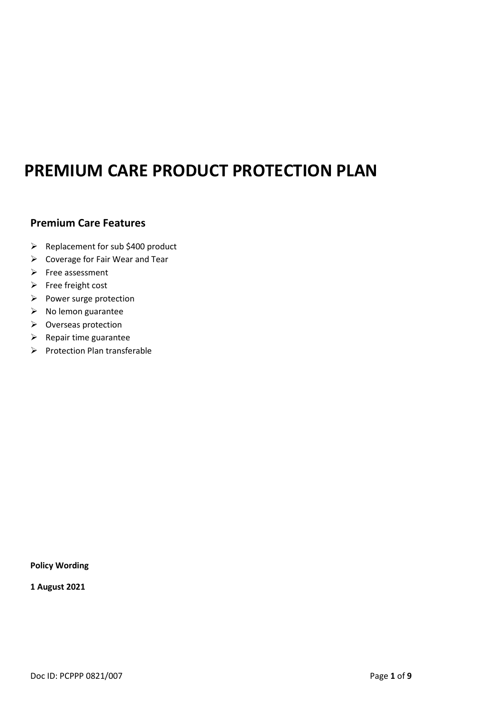# **PREMIUM CARE PRODUCT PROTECTION PLAN**

# **Premium Care Features**

- ➢ Replacement for sub \$400 product
- ➢ Coverage for Fair Wear and Tear
- ➢ Free assessment
- ➢ Free freight cost
- ➢ Power surge protection
- $\triangleright$  No lemon guarantee
- ➢ Overseas protection
- $\triangleright$  Repair time guarantee
- ➢ Protection Plan transferable

**Policy Wording**

**1 August 2021**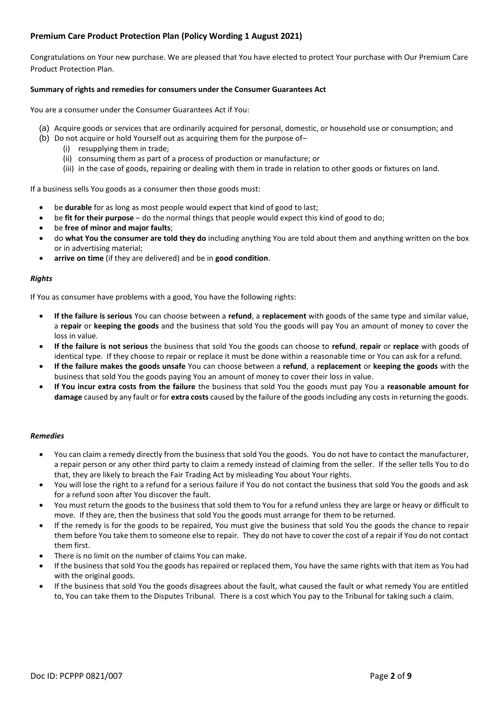### **Premium Care Product Protection Plan (Policy Wording 1 August 2021)**

Congratulations on Your new purchase. We are pleased that You have elected to protect Your purchase with Our Premium Care Product Protection Plan.

#### **Summary of rights and remedies for consumers under the Consumer Guarantees Act**

You are a consumer under the Consumer Guarantees Act if You:

- (a) Acquire goods or services that are ordinarily acquired for personal, domestic, or household use or consumption; and
- (b) Do not acquire or hold Yourself out as acquiring them for the purpose of–
	- (i) resupplying them in trade;
	- (ii) consuming them as part of a process of production or manufacture; or
	- (iii) in the case of goods, repairing or dealing with them in trade in relation to other goods or fixtures on land.

If a business sells You goods as a consumer then those goods must:

- be **durable** for as long as most people would expect that kind of good to last;
- be **fit for their purpose** do the normal things that people would expect this kind of good to do;
- be **free of minor and major faults**;
- do **what You the consumer are told they do** including anything You are told about them and anything written on the box or in advertising material;
- **arrive on time** (if they are delivered) and be in **good condition**.

#### *Rights*

If You as consumer have problems with a good, You have the following rights:

- **If the failure is serious** You can choose between a **refund**, a **replacement** with goods of the same type and similar value, a **repair** or **keeping the goods** and the business that sold You the goods will pay You an amount of money to cover the loss in value.
- **If the failure is not serious** the business that sold You the goods can choose to **refund**, **repair** or **replace** with goods of identical type. If they choose to repair or replace it must be done within a reasonable time or You can ask for a refund.
- **If the failure makes the goods unsafe** You can choose between a **refund**, a **replacement** or **keeping the goods** with the business that sold You the goods paying You an amount of money to cover their loss in value.
- **If You incur extra costs from the failure** the business that sold You the goods must pay You a **reasonable amount for damage** caused by any fault or for **extra costs** caused by the failure of the goods including any costs in returning the goods.

#### *Remedies*

- You can claim a remedy directly from the business that sold You the goods. You do not have to contact the manufacturer, a repair person or any other third party to claim a remedy instead of claiming from the seller. If the seller tells You to do that, they are likely to breach the Fair Trading Act by misleading You about Your rights.
- You will lose the right to a refund for a serious failure if You do not contact the business that sold You the goods and ask for a refund soon after You discover the fault.
- You must return the goods to the business that sold them to You for a refund unless they are large or heavy or difficult to move. If they are, then the business that sold You the goods must arrange for them to be returned.
- If the remedy is for the goods to be repaired, You must give the business that sold You the goods the chance to repair them before You take them to someone else to repair. They do not have to cover the cost of a repair if You do not contact them first.
- There is no limit on the number of claims You can make.
- If the business that sold You the goods has repaired or replaced them, You have the same rights with that item as You had with the original goods.
- If the business that sold You the goods disagrees about the fault, what caused the fault or what remedy You are entitled to, You can take them to the Disputes Tribunal. There is a cost which You pay to the Tribunal for taking such a claim.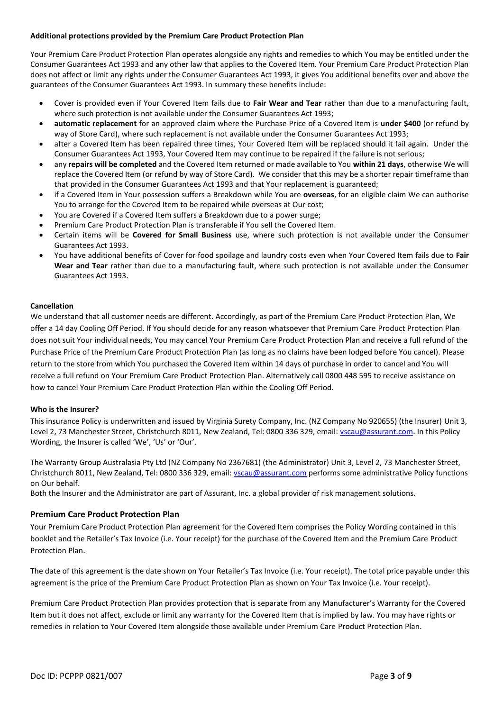#### **Additional protections provided by the Premium Care Product Protection Plan**

Your Premium Care Product Protection Plan operates alongside any rights and remedies to which You may be entitled under the Consumer Guarantees Act 1993 and any other law that applies to the Covered Item. Your Premium Care Product Protection Plan does not affect or limit any rights under the Consumer Guarantees Act 1993, it gives You additional benefits over and above the guarantees of the Consumer Guarantees Act 1993. In summary these benefits include:

- Cover is provided even if Your Covered Item fails due to **Fair Wear and Tear** rather than due to a manufacturing fault, where such protection is not available under the Consumer Guarantees Act 1993;
- **automatic replacement** for an approved claim where the Purchase Price of a Covered Item is **under \$400** (or refund by way of Store Card), where such replacement is not available under the Consumer Guarantees Act 1993;
- after a Covered Item has been repaired three times, Your Covered Item will be replaced should it fail again. Under the Consumer Guarantees Act 1993, Your Covered Item may continue to be repaired if the failure is not serious;
- any **repairs will be completed** and the Covered Item returned or made available to You **within 21 days**, otherwise We will replace the Covered Item (or refund by way of Store Card). We consider that this may be a shorter repair timeframe than that provided in the Consumer Guarantees Act 1993 and that Your replacement is guaranteed;
- if a Covered Item in Your possession suffers a Breakdown while You are **overseas**, for an eligible claim We can authorise You to arrange for the Covered Item to be repaired while overseas at Our cost;
- You are Covered if a Covered Item suffers a Breakdown due to a power surge;
- Premium Care Product Protection Plan is transferable if You sell the Covered Item.
- Certain items will be **Covered for Small Business** use, where such protection is not available under the Consumer Guarantees Act 1993.
- You have additional benefits of Cover for food spoilage and laundry costs even when Your Covered Item fails due to **Fair Wear and Tear** rather than due to a manufacturing fault, where such protection is not available under the Consumer Guarantees Act 1993.

#### **Cancellation**

We understand that all customer needs are different. Accordingly, as part of the Premium Care Product Protection Plan, We offer a 14 day Cooling Off Period. If You should decide for any reason whatsoever that Premium Care Product Protection Plan does not suit Your individual needs, You may cancel Your Premium Care Product Protection Plan and receive a full refund of the Purchase Price of the Premium Care Product Protection Plan (as long as no claims have been lodged before You cancel). Please return to the store from which You purchased the Covered Item within 14 days of purchase in order to cancel and You will receive a full refund on Your Premium Care Product Protection Plan. Alternatively call 0800 448 595 to receive assistance on how to cancel Your Premium Care Product Protection Plan within the Cooling Off Period.

#### **Who is the Insurer?**

This insurance Policy is underwritten and issued by Virginia Surety Company, Inc. (NZ Company No 920655) (the Insurer) Unit 3, Level 2, 73 Manchester Street, Christchurch 8011, New Zealand, Tel: 0800 336 329, email[: vscau@assurant.com.](mailto:vscau@assurant.com) In this Policy Wording, the Insurer is called 'We', 'Us' or 'Our'.

The Warranty Group Australasia Pty Ltd (NZ Company No 2367681) (the Administrator) Unit 3, Level 2, 73 Manchester Street, Christchurch 8011, New Zealand, Tel: 0800 336 329, email[: vscau@assurant.com](mailto:vscau@assurant.com) performs some administrative Policy functions on Our behalf.

Both the Insurer and the Administrator are part of Assurant, Inc. a global provider of risk management solutions.

#### **Premium Care Product Protection Plan**

Your Premium Care Product Protection Plan agreement for the Covered Item comprises the Policy Wording contained in this booklet and the Retailer's Tax Invoice (i.e. Your receipt) for the purchase of the Covered Item and the Premium Care Product Protection Plan.

The date of this agreement is the date shown on Your Retailer's Tax Invoice (i.e. Your receipt). The total price payable under this agreement is the price of the Premium Care Product Protection Plan as shown on Your Tax Invoice (i.e. Your receipt).

Premium Care Product Protection Plan provides protection that is separate from any Manufacturer's Warranty for the Covered Item but it does not affect, exclude or limit any warranty for the Covered Item that is implied by law. You may have rights or remedies in relation to Your Covered Item alongside those available under Premium Care Product Protection Plan.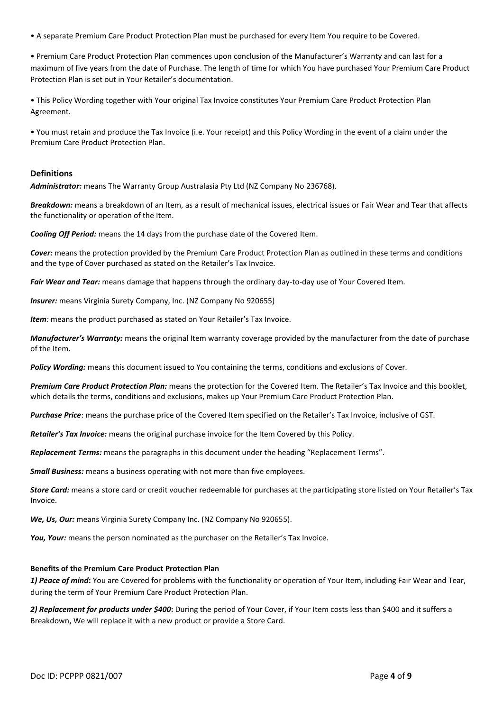• A separate Premium Care Product Protection Plan must be purchased for every Item You require to be Covered.

• Premium Care Product Protection Plan commences upon conclusion of the Manufacturer's Warranty and can last for a maximum of five years from the date of Purchase. The length of time for which You have purchased Your Premium Care Product Protection Plan is set out in Your Retailer's documentation.

• This Policy Wording together with Your original Tax Invoice constitutes Your Premium Care Product Protection Plan Agreement.

• You must retain and produce the Tax Invoice (i.e. Your receipt) and this Policy Wording in the event of a claim under the Premium Care Product Protection Plan.

#### **Definitions**

*Administrator:* means The Warranty Group Australasia Pty Ltd (NZ Company No 236768).

*Breakdown:* means a breakdown of an Item, as a result of mechanical issues, electrical issues or Fair Wear and Tear that affects the functionality or operation of the Item.

*Cooling Off Period:* means the 14 days from the purchase date of the Covered Item.

*Cover:* means the protection provided by the Premium Care Product Protection Plan as outlined in these terms and conditions and the type of Cover purchased as stated on the Retailer's Tax Invoice.

*Fair Wear and Tear:* means damage that happens through the ordinary day-to-day use of Your Covered Item.

**Insurer:** means Virginia Surety Company, Inc. (NZ Company No 920655)

*Item*: means the product purchased as stated on Your Retailer's Tax Invoice.

*Manufacturer's Warranty:* means the original Item warranty coverage provided by the manufacturer from the date of purchase of the Item.

*Policy Wording:* means this document issued to You containing the terms, conditions and exclusions of Cover.

*Premium Care Product Protection Plan:* means the protection for the Covered Item. The Retailer's Tax Invoice and this booklet, which details the terms, conditions and exclusions, makes up Your Premium Care Product Protection Plan.

*Purchase Price*: means the purchase price of the Covered Item specified on the Retailer's Tax Invoice, inclusive of GST.

*Retailer's Tax Invoice:* means the original purchase invoice for the Item Covered by this Policy.

*Replacement Terms:* means the paragraphs in this document under the heading "Replacement Terms".

*Small Business:* means a business operating with not more than five employees.

*Store Card:* means a store card or credit voucher redeemable for purchases at the participating store listed on Your Retailer's Tax Invoice.

*We, Us, Our:* means Virginia Surety Company Inc. (NZ Company No 920655).

You, Your: means the person nominated as the purchaser on the Retailer's Tax Invoice.

#### **Benefits of the Premium Care Product Protection Plan**

*1) Peace of mind***:** You are Covered for problems with the functionality or operation of Your Item, including Fair Wear and Tear, during the term of Your Premium Care Product Protection Plan.

*2) Replacement for products under \$400***:** During the period of Your Cover, if Your Item costs less than \$400 and it suffers a Breakdown, We will replace it with a new product or provide a Store Card.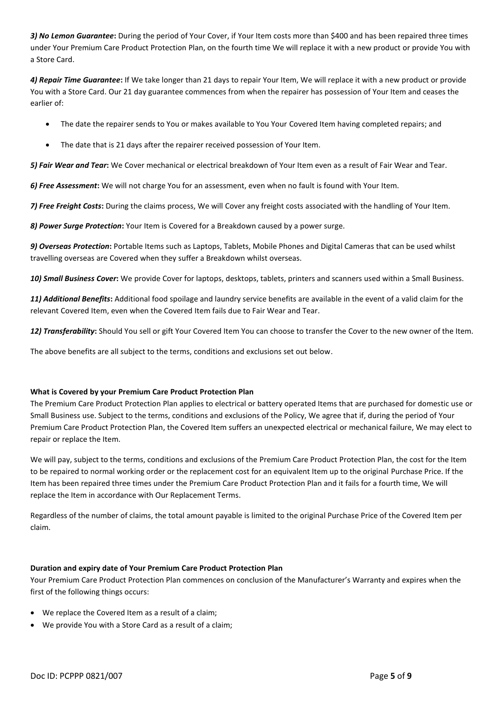*3) No Lemon Guarantee***:** During the period of Your Cover, if Your Item costs more than \$400 and has been repaired three times under Your Premium Care Product Protection Plan, on the fourth time We will replace it with a new product or provide You with a Store Card.

*4) Repair Time Guarantee***:** If We take longer than 21 days to repair Your Item, We will replace it with a new product or provide You with a Store Card. Our 21 day guarantee commences from when the repairer has possession of Your Item and ceases the earlier of:

- The date the repairer sends to You or makes available to You Your Covered Item having completed repairs; and
- The date that is 21 days after the repairer received possession of Your Item.

*5) Fair Wear and Tear***:** We Cover mechanical or electrical breakdown of Your Item even as a result of Fair Wear and Tear.

*6) Free Assessment***:** We will not charge You for an assessment, even when no fault is found with Your Item.

*7) Free Freight Costs***:** During the claims process, We will Cover any freight costs associated with the handling of Your Item.

*8) Power Surge Protection***:** Your Item is Covered for a Breakdown caused by a power surge.

*9) Overseas Protection***:** Portable Items such as Laptops, Tablets, Mobile Phones and Digital Cameras that can be used whilst travelling overseas are Covered when they suffer a Breakdown whilst overseas.

*10) Small Business Cover***:** We provide Cover for laptops, desktops, tablets, printers and scanners used within a Small Business.

*11) Additional Benefits***:** Additional food spoilage and laundry service benefits are available in the event of a valid claim for the relevant Covered Item, even when the Covered Item fails due to Fair Wear and Tear.

*12) Transferability***:** Should You sell or gift Your Covered Item You can choose to transfer the Cover to the new owner of the Item.

The above benefits are all subject to the terms, conditions and exclusions set out below.

#### **What is Covered by your Premium Care Product Protection Plan**

The Premium Care Product Protection Plan applies to electrical or battery operated Items that are purchased for domestic use or Small Business use. Subject to the terms, conditions and exclusions of the Policy, We agree that if, during the period of Your Premium Care Product Protection Plan, the Covered Item suffers an unexpected electrical or mechanical failure, We may elect to repair or replace the Item.

We will pay, subject to the terms, conditions and exclusions of the Premium Care Product Protection Plan, the cost for the Item to be repaired to normal working order or the replacement cost for an equivalent Item up to the original Purchase Price. If the Item has been repaired three times under the Premium Care Product Protection Plan and it fails for a fourth time, We will replace the Item in accordance with Our Replacement Terms.

Regardless of the number of claims, the total amount payable is limited to the original Purchase Price of the Covered Item per claim.

#### **Duration and expiry date of Your Premium Care Product Protection Plan**

Your Premium Care Product Protection Plan commences on conclusion of the Manufacturer's Warranty and expires when the first of the following things occurs:

- We replace the Covered Item as a result of a claim;
- We provide You with a Store Card as a result of a claim;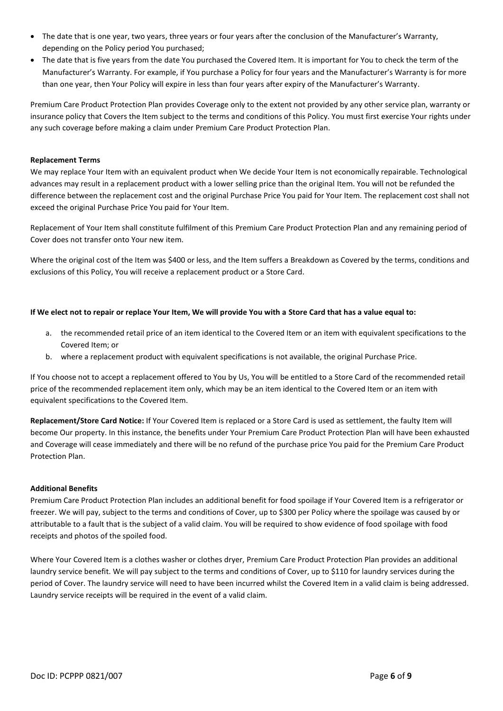- The date that is one year, two years, three years or four years after the conclusion of the Manufacturer's Warranty, depending on the Policy period You purchased;
- The date that is five years from the date You purchased the Covered Item. It is important for You to check the term of the Manufacturer's Warranty. For example, if You purchase a Policy for four years and the Manufacturer's Warranty is for more than one year, then Your Policy will expire in less than four years after expiry of the Manufacturer's Warranty.

Premium Care Product Protection Plan provides Coverage only to the extent not provided by any other service plan, warranty or insurance policy that Covers the Item subject to the terms and conditions of this Policy. You must first exercise Your rights under any such coverage before making a claim under Premium Care Product Protection Plan.

#### **Replacement Terms**

We may replace Your Item with an equivalent product when We decide Your Item is not economically repairable. Technological advances may result in a replacement product with a lower selling price than the original Item. You will not be refunded the difference between the replacement cost and the original Purchase Price You paid for Your Item. The replacement cost shall not exceed the original Purchase Price You paid for Your Item.

Replacement of Your Item shall constitute fulfilment of this Premium Care Product Protection Plan and any remaining period of Cover does not transfer onto Your new item.

Where the original cost of the Item was \$400 or less, and the Item suffers a Breakdown as Covered by the terms, conditions and exclusions of this Policy, You will receive a replacement product or a Store Card.

#### **If We elect not to repair or replace Your Item, We will provide You with a Store Card that has a value equal to:**

- a. the recommended retail price of an item identical to the Covered Item or an item with equivalent specifications to the Covered Item; or
- b. where a replacement product with equivalent specifications is not available, the original Purchase Price.

If You choose not to accept a replacement offered to You by Us, You will be entitled to a Store Card of the recommended retail price of the recommended replacement item only, which may be an item identical to the Covered Item or an item with equivalent specifications to the Covered Item.

**Replacement/Store Card Notice:** If Your Covered Item is replaced or a Store Card is used as settlement, the faulty Item will become Our property. In this instance, the benefits under Your Premium Care Product Protection Plan will have been exhausted and Coverage will cease immediately and there will be no refund of the purchase price You paid for the Premium Care Product Protection Plan.

#### **Additional Benefits**

Premium Care Product Protection Plan includes an additional benefit for food spoilage if Your Covered Item is a refrigerator or freezer. We will pay, subject to the terms and conditions of Cover, up to \$300 per Policy where the spoilage was caused by or attributable to a fault that is the subject of a valid claim. You will be required to show evidence of food spoilage with food receipts and photos of the spoiled food.

Where Your Covered Item is a clothes washer or clothes dryer, Premium Care Product Protection Plan provides an additional laundry service benefit. We will pay subject to the terms and conditions of Cover, up to \$110 for laundry services during the period of Cover. The laundry service will need to have been incurred whilst the Covered Item in a valid claim is being addressed. Laundry service receipts will be required in the event of a valid claim.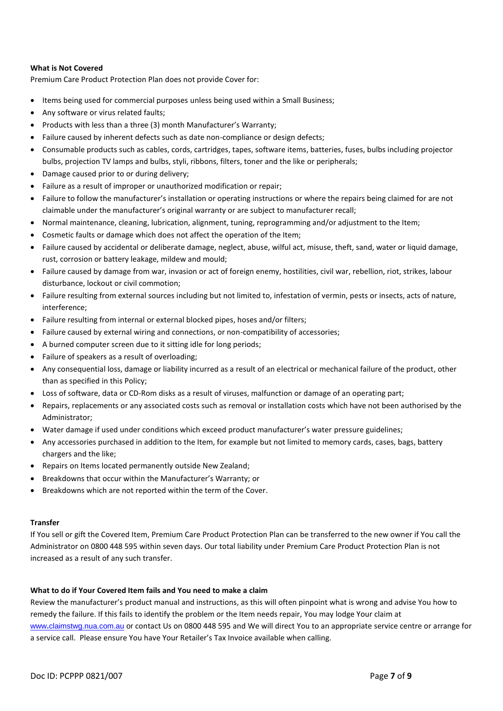#### **What is Not Covered**

Premium Care Product Protection Plan does not provide Cover for:

- Items being used for commercial purposes unless being used within a Small Business;
- Any software or virus related faults;
- Products with less than a three (3) month Manufacturer's Warranty;
- Failure caused by inherent defects such as date non-compliance or design defects;
- Consumable products such as cables, cords, cartridges, tapes, software items, batteries, fuses, bulbs including projector bulbs, projection TV lamps and bulbs, styli, ribbons, filters, toner and the like or peripherals;
- Damage caused prior to or during delivery;
- Failure as a result of improper or unauthorized modification or repair;
- Failure to follow the manufacturer's installation or operating instructions or where the repairs being claimed for are not claimable under the manufacturer's original warranty or are subject to manufacturer recall;
- Normal maintenance, cleaning, lubrication, alignment, tuning, reprogramming and/or adjustment to the Item;
- Cosmetic faults or damage which does not affect the operation of the Item;
- Failure caused by accidental or deliberate damage, neglect, abuse, wilful act, misuse, theft, sand, water or liquid damage, rust, corrosion or battery leakage, mildew and mould;
- Failure caused by damage from war, invasion or act of foreign enemy, hostilities, civil war, rebellion, riot, strikes, labour disturbance, lockout or civil commotion;
- Failure resulting from external sources including but not limited to, infestation of vermin, pests or insects, acts of nature, interference;
- Failure resulting from internal or external blocked pipes, hoses and/or filters;
- Failure caused by external wiring and connections, or non-compatibility of accessories;
- A burned computer screen due to it sitting idle for long periods;
- Failure of speakers as a result of overloading;
- Any consequential loss, damage or liability incurred as a result of an electrical or mechanical failure of the product, other than as specified in this Policy;
- Loss of software, data or CD-Rom disks as a result of viruses, malfunction or damage of an operating part;
- Repairs, replacements or any associated costs such as removal or installation costs which have not been authorised by the Administrator;
- Water damage if used under conditions which exceed product manufacturer's water pressure guidelines;
- Any accessories purchased in addition to the Item, for example but not limited to memory cards, cases, bags, battery chargers and the like;
- Repairs on Items located permanently outside New Zealand;
- Breakdowns that occur within the Manufacturer's Warranty; or
- Breakdowns which are not reported within the term of the Cover.

#### **Transfer**

If You sell or gift the Covered Item, Premium Care Product Protection Plan can be transferred to the new owner if You call the Administrator on 0800 448 595 within seven days. Our total liability under Premium Care Product Protection Plan is not increased as a result of any such transfer.

#### **What to do if Your Covered Item fails and You need to make a claim**

Review the manufacturer's product manual and instructions, as this will often pinpoint what is wrong and advise You how to remedy the failure. If this fails to identify the problem or the Item needs repair, You may lodge Your claim at www**.**[claimstwg.nua.com.au](http://www.claimstwg.nua.com.au/) or contact Us on 0800 448 595 and We will direct You to an appropriate service centre or arrange for a service call. Please ensure You have Your Retailer's Tax Invoice available when calling.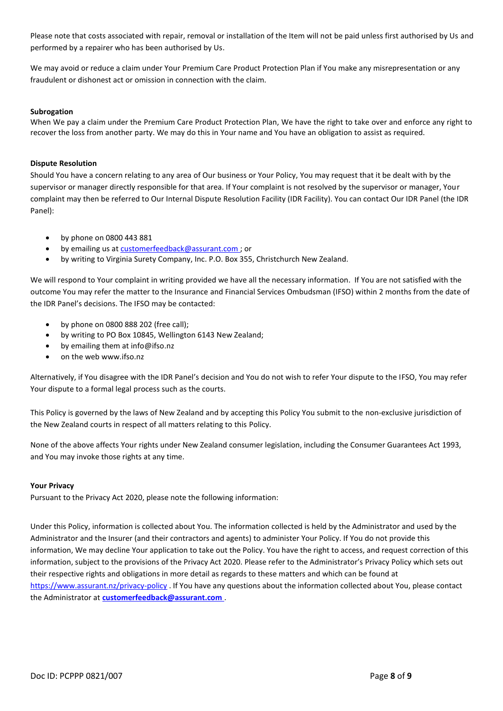Please note that costs associated with repair, removal or installation of the Item will not be paid unless first authorised by Us and performed by a repairer who has been authorised by Us.

We may avoid or reduce a claim under Your Premium Care Product Protection Plan if You make any misrepresentation or any fraudulent or dishonest act or omission in connection with the claim.

#### **Subrogation**

When We pay a claim under the Premium Care Product Protection Plan, We have the right to take over and enforce any right to recover the loss from another party. We may do this in Your name and You have an obligation to assist as required.

#### **Dispute Resolution**

Should You have a concern relating to any area of Our business or Your Policy, You may request that it be dealt with by the supervisor or manager directly responsible for that area. If Your complaint is not resolved by the supervisor or manager, Your complaint may then be referred to Our Internal Dispute Resolution Facility (IDR Facility). You can contact Our IDR Panel (the IDR Panel):

- by phone on 0800 443 881
- by emailing us a[t customerfeedback@assurant.com ;](mailto:customerfeedback@assurant.com) or
- by writing to Virginia Surety Company, Inc. P.O. Box 355, Christchurch New Zealand.

We will respond to Your complaint in writing provided we have all the necessary information. If You are not satisfied with the outcome You may refer the matter to the Insurance and Financial Services Ombudsman (IFSO) within 2 months from the date of the IDR Panel's decisions. The IFSO may be contacted:

- by phone on 0800 888 202 (free call);
- by writing to PO Box 10845, Wellington 6143 New Zealand;
- by emailing them at info@ifso.nz
- on the web www.ifso.nz

Alternatively, if You disagree with the IDR Panel's decision and You do not wish to refer Your dispute to the IFSO, You may refer Your dispute to a formal legal process such as the courts.

This Policy is governed by the laws of New Zealand and by accepting this Policy You submit to the non-exclusive jurisdiction of the New Zealand courts in respect of all matters relating to this Policy.

None of the above affects Your rights under New Zealand consumer legislation, including the Consumer Guarantees Act 1993, and You may invoke those rights at any time.

#### **Your Privacy**

Pursuant to the Privacy Act 2020, please note the following information:

Under this Policy, information is collected about You. The information collected is held by the Administrator and used by the Administrator and the Insurer (and their contractors and agents) to administer Your Policy. If You do not provide this information, We may decline Your application to take out the Policy. You have the right to access, and request correction of this information, subject to the provisions of the Privacy Act 2020. Please refer to the Administrator's Privacy Policy which sets out their respective rights and obligations in more detail as regards to these matters and which can be found at <https://www.assurant.nz/privacy-policy> . If You have any questions about the information collected about You, please contact the Administrator at **[customerfeedback@assurant.com](mailto:customerfeedback@assurant.com)** .